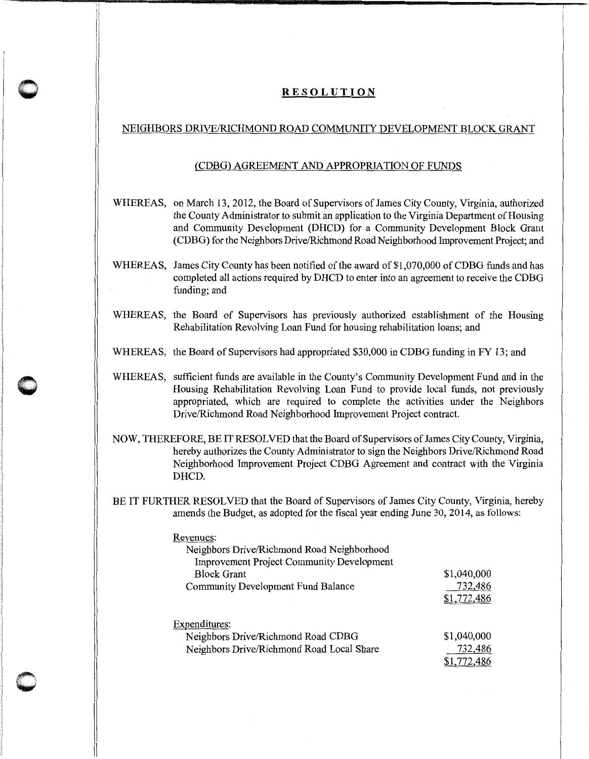## **RESOLUTION**

 $\bigcap$  $\bullet$  " i<br>" i<br>" i<br>" i

## NEIGHBORS DRNEIRICHMOND ROAD COMMUNITY DEVELOPMENT BLOCK GRANT

## (CDBG) AGREEMENT AND APPROPRIATION OF FUNDS

- WHEREAS, on March 13, 2012, the Board of Supervisors of James City County, Virginia, authorized the County Administrator to submit an application to the Virginia Department of Housing and Community Development (DHCD) for a Community Development Block Grant (CDBG) for the Neighbors Drive/Richmond Road Neighborhood Improvement Project; and
- WHEREAS, James City County has been notified of the award of \$1,070,000 of CDBG funds and has completed all actions required by DHCD to enter into an agreement to receive the CDBG funding; and
- WHEREAS, the Board of Supervisors has previously authorized establishment of the Housing Rehabilitation Revolving Loan Fund for housing rehabilitation loans; and
- WHEREAS, the Board of Supervisors had appropriated \$30,000 in CDBG funding in FY 13; and
- WHEREAS, sufficient funds are available in the County's Community Development Fund and in the Housing Rehabilitation Revolving Loan Fund to provide local funds, not previously appropriated, which are required to complete the activities under the Neighbors Drive/Richmond Road Neighborhood Improvement Project contract.
- NOW, THEREFORE, BE IT RESOLVED that the Board of Supervisors of James City County, Virginia, hereby authorizes the County Administrator to sign the Neighbors Drive/Richmond Road Neighborhood Improvement Project CDBG Agreement and contract with the Virginia DHCD.
- BE IT FURTHER RESOLVED that the Board of Supervisors of James City County, Virginia, hereby amends the Budget, as adopted for the fiscal year ending June 30, 2014, as follows:

| Revenues:                                        |             |
|--------------------------------------------------|-------------|
| Neighbors Drive/Richmond Road Neighborhood       |             |
| <b>Improvement Project Community Development</b> |             |
| <b>Block Grant</b>                               | \$1,040,000 |
| <b>Community Development Fund Balance</b>        | 732,486     |
|                                                  | \$1,772,486 |
|                                                  |             |
| Expenditures:                                    |             |
| Neighbors Drive/Richmond Road CDBG               | \$1,040,000 |
| Neighbors Drive/Richmond Road Local Share        | 732,486     |
|                                                  | \$1,772,486 |